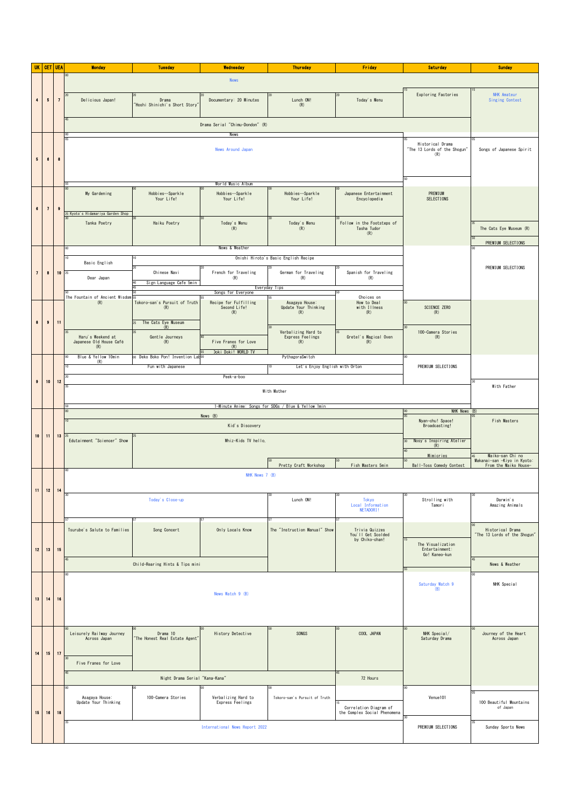| UK                       |           | <b>CET   UEA</b>         | <b>Monday</b>                                       | <b>Tuesday</b>                             | Wednesday                                   | <b>Thursday</b>                         | <b>Friday</b>                                          | <b>Saturday</b>                                  | <b>Sunday</b>                                                            |  |  |  |
|--------------------------|-----------|--------------------------|-----------------------------------------------------|--------------------------------------------|---------------------------------------------|-----------------------------------------|--------------------------------------------------------|--------------------------------------------------|--------------------------------------------------------------------------|--|--|--|
|                          |           |                          | <b>News</b>                                         |                                            |                                             |                                         |                                                        |                                                  |                                                                          |  |  |  |
|                          |           |                          |                                                     |                                            |                                             |                                         |                                                        | Exploring Factories                              | <b>NHK</b> Amateur                                                       |  |  |  |
| $\blacktriangleleft$     | $\pmb{5}$ | $\overline{\phantom{a}}$ | Delicious Japan!                                    | Drama<br>"Hoshi Shinichi's Short Story'    | Documentary: 20 Minutes                     | Lunch ON!<br>(R)                        | Today's Menu                                           |                                                  | <b>Singing Contest</b>                                                   |  |  |  |
|                          |           |                          |                                                     |                                            |                                             |                                         |                                                        |                                                  |                                                                          |  |  |  |
|                          |           |                          | Drama Serial "Chimu-Dondon" (R)                     |                                            |                                             |                                         |                                                        |                                                  |                                                                          |  |  |  |
|                          |           |                          |                                                     |                                            | News                                        |                                         |                                                        |                                                  |                                                                          |  |  |  |
|                          |           | $\pmb{3}$                | News Around Japan                                   |                                            |                                             |                                         |                                                        | Historical Drama<br>"The 13 Lords of the Shogun" | Songs of Japanese Spirit                                                 |  |  |  |
| $\bf 5$                  | $\bf{6}$  |                          |                                                     |                                            |                                             |                                         |                                                        | (R)                                              |                                                                          |  |  |  |
|                          |           |                          |                                                     |                                            |                                             |                                         |                                                        |                                                  |                                                                          |  |  |  |
|                          |           |                          |                                                     |                                            |                                             |                                         |                                                        |                                                  |                                                                          |  |  |  |
|                          |           |                          | My Gardening                                        | Hobbies--Sparkle<br>Your Life!             | Hobbies--Sparkle<br>Your Life!              | Hobbies--Sparkle<br>Your Life!          | Japanese Entertainment<br>Encyclopedia                 | PREMIUM<br>SELECTIONS                            |                                                                          |  |  |  |
| $\bf 6$                  | $\bf{7}$  | $\pmb{9}$                |                                                     |                                            |                                             |                                         |                                                        |                                                  |                                                                          |  |  |  |
|                          |           |                          | 5 Kyoto's Hidamariya Garden Shop                    |                                            |                                             |                                         |                                                        |                                                  |                                                                          |  |  |  |
|                          |           |                          | Tanka Poetry                                        | Haiku Poetry                               | Today's Menu<br>(R)                         | Today's Menu<br>(R)                     | Follow in the Footsteps of<br>Tasha Tudor<br>(R)       |                                                  | The Cats Eye Museum (R)                                                  |  |  |  |
|                          |           |                          |                                                     |                                            |                                             |                                         |                                                        |                                                  | PREMIUM SELECTIONS                                                       |  |  |  |
|                          |           |                          |                                                     |                                            |                                             |                                         |                                                        |                                                  |                                                                          |  |  |  |
|                          |           |                          | Basic English                                       | 20                                         |                                             | Onishi Hiroto's Basic English Recipe    |                                                        |                                                  | PREMIUM SELECTIONS                                                       |  |  |  |
| $\overline{\phantom{a}}$ | $\bf{8}$  | 10                       | Dear Japan                                          | Chinese Navi                               | French for Traveling<br>(R)                 | German for Traveling<br>(R)             | Spanish for Traveling<br>(R)                           |                                                  |                                                                          |  |  |  |
|                          |           |                          |                                                     | Sign Language Cafe 5min<br>40<br>45        |                                             | Everyday Tips                           | 50                                                     |                                                  |                                                                          |  |  |  |
|                          |           |                          | The Fountain of Ancient Wisdom 55<br>(R)            | Tokoro-san's Pursuit of Truth              | Songs for Everyone<br>Recipe for Fulfilling | 55<br>Asagaya House:                    | Choices on<br>How to Deal                              | $00\,$                                           |                                                                          |  |  |  |
|                          |           |                          |                                                     | (R)                                        | Second Life!<br>(R)                         | Update Your Thinking<br>(R)             | with Illness<br>(R)                                    | SCIENCE ZERO<br>(R)                              |                                                                          |  |  |  |
| $\pmb{8}$                | $\bullet$ | $\mathbf{11}$            |                                                     | The Cats Eye Museum<br>25<br>(R)           |                                             | 30                                      |                                                        |                                                  |                                                                          |  |  |  |
|                          |           |                          | Haru's Weekend at                                   | Gentle Journeys                            |                                             | Verbalizing Hard to<br>Express Feelings | Gretel's Magical Oven                                  | 100-Camera Stories<br>(R)                        |                                                                          |  |  |  |
|                          |           |                          | Japanese Old House Café<br>(R)                      | (R)                                        | Five Franes for Love<br>(R)                 | (R)                                     | (R)                                                    |                                                  |                                                                          |  |  |  |
|                          |           |                          | Blue & Yellow 10min<br>(R)                          | 00 Deko Boko Pon! Invention Laboo          | Doki Doki! WORLD TV                         | PythagoraSwitch                         |                                                        |                                                  |                                                                          |  |  |  |
|                          |           |                          |                                                     | Fun with Japanese                          |                                             | Let's Enjoy English with Orton          |                                                        | PREMIUM SELECTIONS                               |                                                                          |  |  |  |
| $\bullet$                | 10        | 12                       |                                                     |                                            | Peek-a-boo                                  |                                         |                                                        |                                                  |                                                                          |  |  |  |
|                          |           |                          |                                                     |                                            |                                             | With Mother                             |                                                        |                                                  | With Father                                                              |  |  |  |
|                          |           |                          | 1-Minute Anime: Songs for SDGs / Blue & Yellow 1min |                                            |                                             |                                         |                                                        |                                                  |                                                                          |  |  |  |
|                          |           |                          |                                                     |                                            | News (B)                                    |                                         |                                                        | NHK News (B)<br>00<br>05                         |                                                                          |  |  |  |
|                          |           |                          |                                                     |                                            | Kid's Discovery                             |                                         |                                                        | Nyan-chu! Space!<br>Broadcasting!                | Fish Masters                                                             |  |  |  |
| 10                       | 11        | 13                       | Edutainment "Sciencer" Show                         | Whiz-Kids TV hello,                        |                                             |                                         |                                                        | Nosy's Inspiring Atelier<br>30 <sub>1</sub>      |                                                                          |  |  |  |
|                          |           |                          |                                                     |                                            |                                             |                                         |                                                        | (R)                                              |                                                                          |  |  |  |
|                          |           |                          |                                                     |                                            |                                             | Pretty Craft Workshop                   | Fish Masters 5min                                      | <b>Mimicries</b><br>Ball-Toss Comedy Contest     | Maiko-san Chi no<br>Makanai-san -Kiyo in Kyoto:<br>From the Maiko House- |  |  |  |
|                          |           |                          |                                                     |                                            | NHK News 7 (B)                              |                                         |                                                        |                                                  |                                                                          |  |  |  |
|                          | 12        |                          |                                                     |                                            |                                             |                                         |                                                        |                                                  |                                                                          |  |  |  |
|                          |           |                          |                                                     | Today's Close-up                           |                                             | Lunch ON!                               | Tokyo                                                  | Strolling with                                   | Darwin's                                                                 |  |  |  |
|                          |           |                          |                                                     |                                            |                                             |                                         | Local Information<br>NETADORI!                         | Tamori                                           | Amazing Animals                                                          |  |  |  |
|                          |           |                          |                                                     |                                            |                                             |                                         |                                                        |                                                  |                                                                          |  |  |  |
|                          |           |                          | Tsurube's Salute to Families                        | Song Concert                               | Only Locals Know                            | The "Instruction Manual" Show           | Trivia Quizzes<br>You'll Get Scolded                   |                                                  | Historical Drama<br>"The 13 Lords of the Shogun"                         |  |  |  |
| 12                       | 13        | 15                       |                                                     |                                            |                                             |                                         | by Chiko-chan!                                         | The Visualization<br>Entertainment:              |                                                                          |  |  |  |
|                          |           |                          |                                                     |                                            |                                             |                                         |                                                        | Go! Kaneo-kun                                    |                                                                          |  |  |  |
|                          |           |                          |                                                     | Child-Rearing Hints & Tips mini            |                                             |                                         |                                                        |                                                  | News & Weather                                                           |  |  |  |
|                          |           |                          |                                                     |                                            |                                             |                                         |                                                        |                                                  | NHK Special                                                              |  |  |  |
|                          |           |                          | News Watch 9 (B)                                    |                                            |                                             |                                         |                                                        | Saturday Watch 9<br>(B)                          |                                                                          |  |  |  |
| 13                       | 14        | 16                       |                                                     |                                            |                                             |                                         |                                                        |                                                  |                                                                          |  |  |  |
|                          |           |                          |                                                     |                                            |                                             |                                         |                                                        |                                                  |                                                                          |  |  |  |
|                          |           |                          |                                                     |                                            |                                             |                                         |                                                        |                                                  |                                                                          |  |  |  |
|                          |           |                          | Leisurely Railway Journey<br>Across Japan           | Drama 10<br>"The Honest Real Estate Agent" | History Detective                           | SONGS                                   | COOL JAPAN                                             | NHK Special/<br>Saturday Drama                   | Journey of the Heart<br>Across Japan                                     |  |  |  |
| 14                       | 15        | 11                       |                                                     |                                            |                                             |                                         |                                                        |                                                  |                                                                          |  |  |  |
|                          |           |                          | Five Franes for Love                                |                                            |                                             |                                         |                                                        |                                                  |                                                                          |  |  |  |
|                          |           |                          | 45<br>Night Drama Serial "Kana-Kana"<br>72 Hours    |                                            |                                             |                                         |                                                        |                                                  |                                                                          |  |  |  |
|                          |           |                          |                                                     | 00                                         |                                             |                                         |                                                        |                                                  |                                                                          |  |  |  |
|                          |           |                          | Asagaya House:                                      | 100-Camera Stories                         | Verbalizing Hard to                         | Tokoro-san's Pursuit of Truth           |                                                        | Venue101                                         |                                                                          |  |  |  |
| $15\,$                   | 16        | 18                       | Update Your Thinking                                |                                            | Express Feelings                            |                                         | Correlation Diagram of<br>the Complex Social Phenomena |                                                  | 100 Beautiful Mountains<br>of Japan                                      |  |  |  |
|                          |           |                          |                                                     |                                            |                                             |                                         |                                                        | 30                                               |                                                                          |  |  |  |
|                          |           |                          |                                                     |                                            | International News Report 2022              |                                         |                                                        | PREMIUM SELECTIONS                               | Sunday Sports News                                                       |  |  |  |
|                          |           |                          |                                                     |                                            |                                             |                                         |                                                        |                                                  |                                                                          |  |  |  |